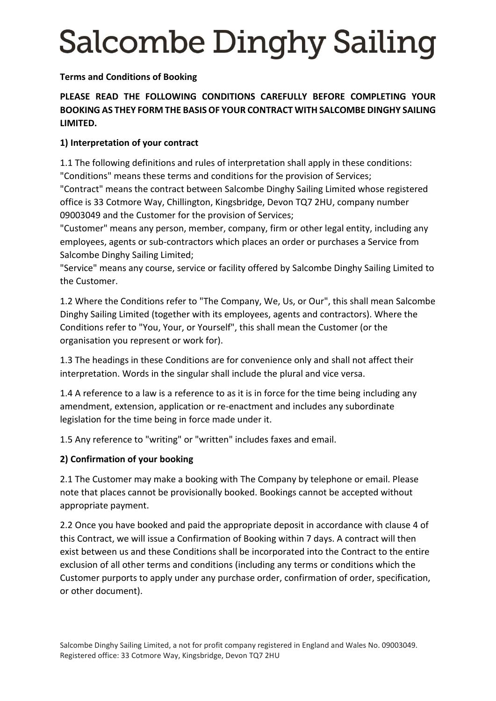**Terms and Conditions of Booking**

## **PLEASE READ THE FOLLOWING CONDITIONS CAREFULLY BEFORE COMPLETING YOUR BOOKING AS THEY FORM THE BASIS OF YOUR CONTRACT WITH SALCOMBE DINGHY SAILING LIMITED.**

## **1) Interpretation of your contract**

1.1 The following definitions and rules of interpretation shall apply in these conditions: "Conditions" means these terms and conditions for the provision of Services;

"Contract" means the contract between Salcombe Dinghy Sailing Limited whose registered office is 33 Cotmore Way, Chillington, Kingsbridge, Devon TQ7 2HU, company number 09003049 and the Customer for the provision of Services;

"Customer" means any person, member, company, firm or other legal entity, including any employees, agents or sub-contractors which places an order or purchases a Service from Salcombe Dinghy Sailing Limited;

"Service" means any course, service or facility offered by Salcombe Dinghy Sailing Limited to the Customer.

1.2 Where the Conditions refer to "The Company, We, Us, or Our", this shall mean Salcombe Dinghy Sailing Limited (together with its employees, agents and contractors). Where the Conditions refer to "You, Your, or Yourself", this shall mean the Customer (or the organisation you represent or work for).

1.3 The headings in these Conditions are for convenience only and shall not affect their interpretation. Words in the singular shall include the plural and vice versa.

1.4 A reference to a law is a reference to as it is in force for the time being including any amendment, extension, application or re-enactment and includes any subordinate legislation for the time being in force made under it.

1.5 Any reference to "writing" or "written" includes faxes and email.

## **2) Confirmation of your booking**

2.1 The Customer may make a booking with The Company by telephone or email. Please note that places cannot be provisionally booked. Bookings cannot be accepted without appropriate payment.

2.2 Once you have booked and paid the appropriate deposit in accordance with clause 4 of this Contract, we will issue a Confirmation of Booking within 7 days. A contract will then exist between us and these Conditions shall be incorporated into the Contract to the entire exclusion of all other terms and conditions (including any terms or conditions which the Customer purports to apply under any purchase order, confirmation of order, specification, or other document).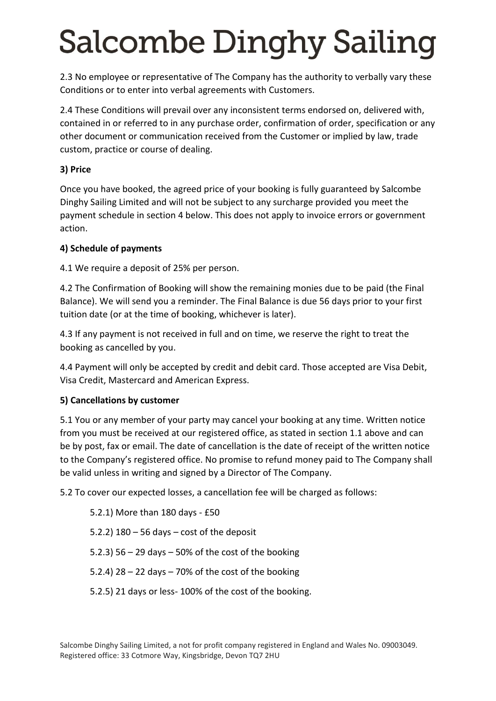2.3 No employee or representative of The Company has the authority to verbally vary these Conditions or to enter into verbal agreements with Customers.

2.4 These Conditions will prevail over any inconsistent terms endorsed on, delivered with, contained in or referred to in any purchase order, confirmation of order, specification or any other document or communication received from the Customer or implied by law, trade custom, practice or course of dealing.

#### **3) Price**

Once you have booked, the agreed price of your booking is fully guaranteed by Salcombe Dinghy Sailing Limited and will not be subject to any surcharge provided you meet the payment schedule in section 4 below. This does not apply to invoice errors or government action.

### **4) Schedule of payments**

4.1 We require a deposit of 25% per person.

4.2 The Confirmation of Booking will show the remaining monies due to be paid (the Final Balance). We will send you a reminder. The Final Balance is due 56 days prior to your first tuition date (or at the time of booking, whichever is later).

4.3 If any payment is not received in full and on time, we reserve the right to treat the booking as cancelled by you.

4.4 Payment will only be accepted by credit and debit card. Those accepted are Visa Debit, Visa Credit, Mastercard and American Express.

## **5) Cancellations by customer**

5.1 You or any member of your party may cancel your booking at any time. Written notice from you must be received at our registered office, as stated in section 1.1 above and can be by post, fax or email. The date of cancellation is the date of receipt of the written notice to the Company's registered office. No promise to refund money paid to The Company shall be valid unless in writing and signed by a Director of The Company.

5.2 To cover our expected losses, a cancellation fee will be charged as follows:

5.2.1) More than 180 days - £50 5.2.2) 180 – 56 days – cost of the deposit 5.2.3) 56 – 29 days – 50% of the cost of the booking 5.2.4)  $28 - 22$  days  $-70\%$  of the cost of the booking 5.2.5) 21 days or less- 100% of the cost of the booking.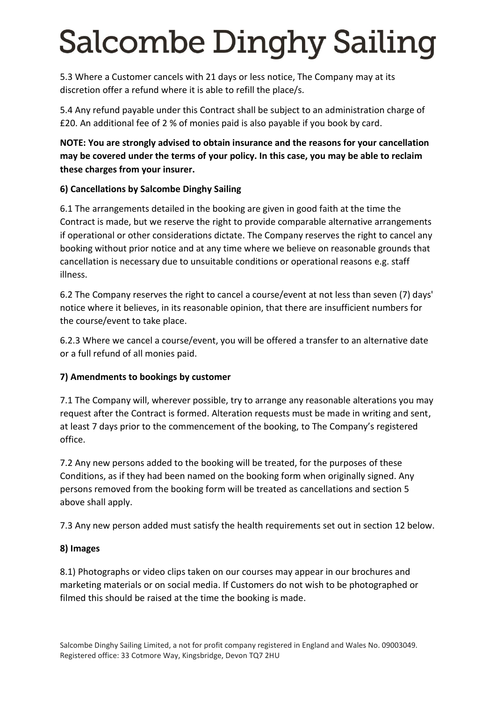5.3 Where a Customer cancels with 21 days or less notice, The Company may at its discretion offer a refund where it is able to refill the place/s.

5.4 Any refund payable under this Contract shall be subject to an administration charge of £20. An additional fee of 2 % of monies paid is also payable if you book by card.

### **NOTE: You are strongly advised to obtain insurance and the reasons for your cancellation may be covered under the terms of your policy. In this case, you may be able to reclaim these charges from your insurer.**

### **6) Cancellations by Salcombe Dinghy Sailing**

6.1 The arrangements detailed in the booking are given in good faith at the time the Contract is made, but we reserve the right to provide comparable alternative arrangements if operational or other considerations dictate. The Company reserves the right to cancel any booking without prior notice and at any time where we believe on reasonable grounds that cancellation is necessary due to unsuitable conditions or operational reasons e.g. staff illness.

6.2 The Company reserves the right to cancel a course/event at not less than seven (7) days' notice where it believes, in its reasonable opinion, that there are insufficient numbers for the course/event to take place.

6.2.3 Where we cancel a course/event, you will be offered a transfer to an alternative date or a full refund of all monies paid.

#### **7) Amendments to bookings by customer**

7.1 The Company will, wherever possible, try to arrange any reasonable alterations you may request after the Contract is formed. Alteration requests must be made in writing and sent, at least 7 days prior to the commencement of the booking, to The Company's registered office.

7.2 Any new persons added to the booking will be treated, for the purposes of these Conditions, as if they had been named on the booking form when originally signed. Any persons removed from the booking form will be treated as cancellations and section 5 above shall apply.

7.3 Any new person added must satisfy the health requirements set out in section 12 below.

#### **8) Images**

8.1) Photographs or video clips taken on our courses may appear in our brochures and marketing materials or on social media. If Customers do not wish to be photographed or filmed this should be raised at the time the booking is made.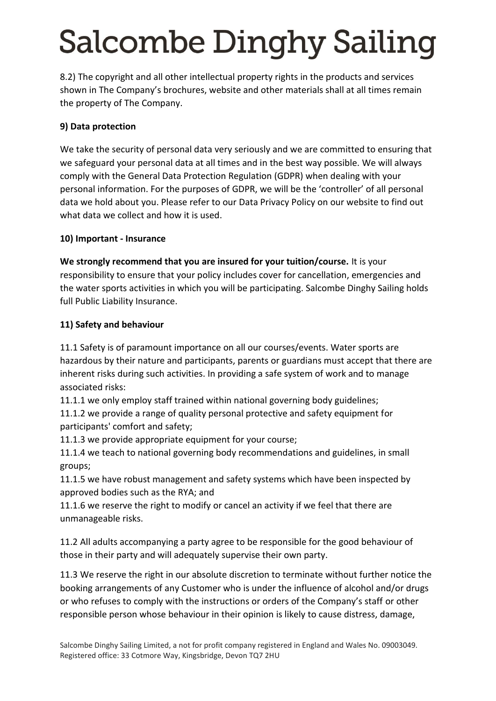8.2) The copyright and all other intellectual property rights in the products and services shown in The Company's brochures, website and other materials shall at all times remain the property of The Company.

## **9) Data protection**

We take the security of personal data very seriously and we are committed to ensuring that we safeguard your personal data at all times and in the best way possible. We will always comply with the General Data Protection Regulation (GDPR) when dealing with your personal information. For the purposes of GDPR, we will be the 'controller' of all personal data we hold about you. Please refer to our Data Privacy Policy on our website to find out what data we collect and how it is used.

#### **10) Important - Insurance**

**We strongly recommend that you are insured for your tuition/course.** It is your responsibility to ensure that your policy includes cover for cancellation, emergencies and the water sports activities in which you will be participating. Salcombe Dinghy Sailing holds full Public Liability Insurance.

### **11) Safety and behaviour**

11.1 Safety is of paramount importance on all our courses/events. Water sports are hazardous by their nature and participants, parents or guardians must accept that there are inherent risks during such activities. In providing a safe system of work and to manage associated risks:

11.1.1 we only employ staff trained within national governing body guidelines;

11.1.2 we provide a range of quality personal protective and safety equipment for participants' comfort and safety;

11.1.3 we provide appropriate equipment for your course;

11.1.4 we teach to national governing body recommendations and guidelines, in small groups;

11.1.5 we have robust management and safety systems which have been inspected by approved bodies such as the RYA; and

11.1.6 we reserve the right to modify or cancel an activity if we feel that there are unmanageable risks.

11.2 All adults accompanying a party agree to be responsible for the good behaviour of those in their party and will adequately supervise their own party.

11.3 We reserve the right in our absolute discretion to terminate without further notice the booking arrangements of any Customer who is under the influence of alcohol and/or drugs or who refuses to comply with the instructions or orders of the Company's staff or other responsible person whose behaviour in their opinion is likely to cause distress, damage,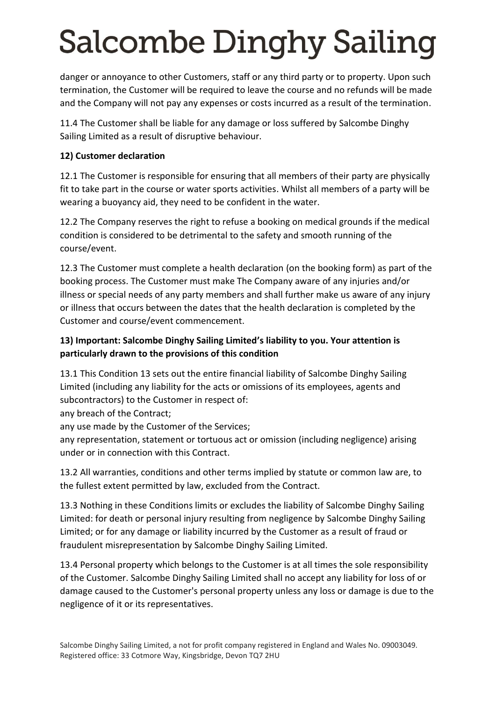danger or annoyance to other Customers, staff or any third party or to property. Upon such termination, the Customer will be required to leave the course and no refunds will be made and the Company will not pay any expenses or costs incurred as a result of the termination.

11.4 The Customer shall be liable for any damage or loss suffered by Salcombe Dinghy Sailing Limited as a result of disruptive behaviour.

#### **12) Customer declaration**

12.1 The Customer is responsible for ensuring that all members of their party are physically fit to take part in the course or water sports activities. Whilst all members of a party will be wearing a buoyancy aid, they need to be confident in the water.

12.2 The Company reserves the right to refuse a booking on medical grounds if the medical condition is considered to be detrimental to the safety and smooth running of the course/event.

12.3 The Customer must complete a health declaration (on the booking form) as part of the booking process. The Customer must make The Company aware of any injuries and/or illness or special needs of any party members and shall further make us aware of any injury or illness that occurs between the dates that the health declaration is completed by the Customer and course/event commencement.

### **13) Important: Salcombe Dinghy Sailing Limited's liability to you. Your attention is particularly drawn to the provisions of this condition**

13.1 This Condition 13 sets out the entire financial liability of Salcombe Dinghy Sailing Limited (including any liability for the acts or omissions of its employees, agents and subcontractors) to the Customer in respect of:

any breach of the Contract;

any use made by the Customer of the Services;

any representation, statement or tortuous act or omission (including negligence) arising under or in connection with this Contract.

13.2 All warranties, conditions and other terms implied by statute or common law are, to the fullest extent permitted by law, excluded from the Contract.

13.3 Nothing in these Conditions limits or excludes the liability of Salcombe Dinghy Sailing Limited: for death or personal injury resulting from negligence by Salcombe Dinghy Sailing Limited; or for any damage or liability incurred by the Customer as a result of fraud or fraudulent misrepresentation by Salcombe Dinghy Sailing Limited.

13.4 Personal property which belongs to the Customer is at all times the sole responsibility of the Customer. Salcombe Dinghy Sailing Limited shall no accept any liability for loss of or damage caused to the Customer's personal property unless any loss or damage is due to the negligence of it or its representatives.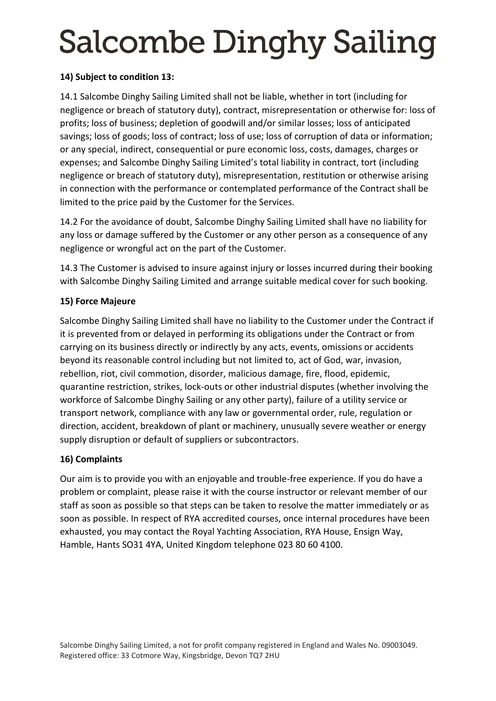#### **14) Subject to condition 13:**

14.1 Salcombe Dinghy Sailing Limited shall not be liable, whether in tort (including for negligence or breach of statutory duty), contract, misrepresentation or otherwise for: loss of profits; loss of business; depletion of goodwill and/or similar losses; loss of anticipated savings; loss of goods; loss of contract; loss of use; loss of corruption of data or information; or any special, indirect, consequential or pure economic loss, costs, damages, charges or expenses; and Salcombe Dinghy Sailing Limited's total liability in contract, tort (including negligence or breach of statutory duty), misrepresentation, restitution or otherwise arising in connection with the performance or contemplated performance of the Contract shall be limited to the price paid by the Customer for the Services.

14.2 For the avoidance of doubt, Salcombe Dinghy Sailing Limited shall have no liability for any loss or damage suffered by the Customer or any other person as a consequence of any negligence or wrongful act on the part of the Customer.

14.3 The Customer is advised to insure against injury or losses incurred during their booking with Salcombe Dinghy Sailing Limited and arrange suitable medical cover for such booking.

### **15) Force Majeure**

Salcombe Dinghy Sailing Limited shall have no liability to the Customer under the Contract if it is prevented from or delayed in performing its obligations under the Contract or from carrying on its business directly or indirectly by any acts, events, omissions or accidents beyond its reasonable control including but not limited to, act of God, war, invasion, rebellion, riot, civil commotion, disorder, malicious damage, fire, flood, epidemic, quarantine restriction, strikes, lock-outs or other industrial disputes (whether involving the workforce of Salcombe Dinghy Sailing or any other party), failure of a utility service or transport network, compliance with any law or governmental order, rule, regulation or direction, accident, breakdown of plant or machinery, unusually severe weather or energy supply disruption or default of suppliers or subcontractors.

## **16) Complaints**

Our aim is to provide you with an enjoyable and trouble-free experience. If you do have a problem or complaint, please raise it with the course instructor or relevant member of our staff as soon as possible so that steps can be taken to resolve the matter immediately or as soon as possible. In respect of RYA accredited courses, once internal procedures have been exhausted, you may contact the Royal Yachting Association, RYA House, Ensign Way, Hamble, Hants SO31 4YA, United Kingdom telephone 023 80 60 4100.